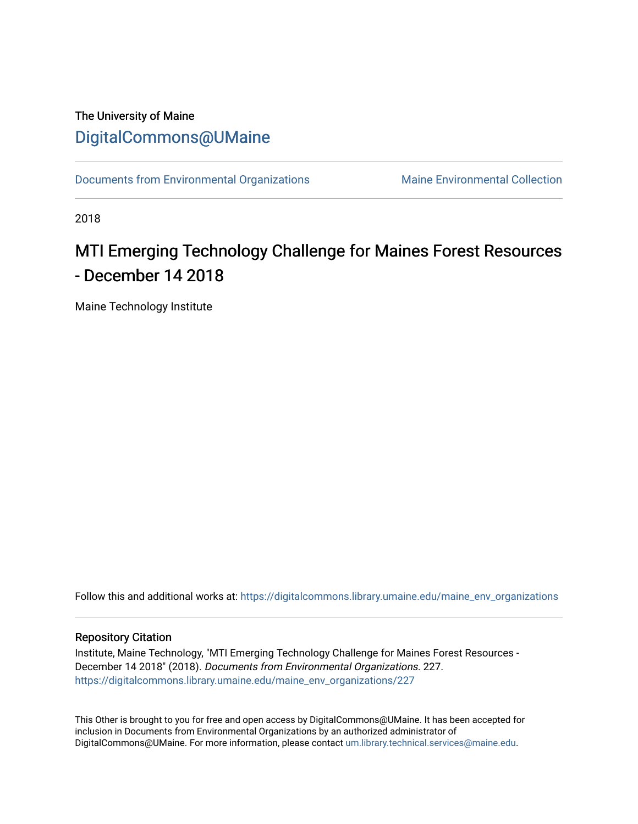## The University of Maine [DigitalCommons@UMaine](https://digitalcommons.library.umaine.edu/)

[Documents from Environmental Organizations](https://digitalcommons.library.umaine.edu/maine_env_organizations) Maine Environmental Collection

2018

# MTI Emerging Technology Challenge for Maines Forest Resources - December 14 2018

Maine Technology Institute

Follow this and additional works at: [https://digitalcommons.library.umaine.edu/maine\\_env\\_organizations](https://digitalcommons.library.umaine.edu/maine_env_organizations?utm_source=digitalcommons.library.umaine.edu%2Fmaine_env_organizations%2F227&utm_medium=PDF&utm_campaign=PDFCoverPages)

#### Repository Citation

Institute, Maine Technology, "MTI Emerging Technology Challenge for Maines Forest Resources - December 14 2018" (2018). Documents from Environmental Organizations. 227. [https://digitalcommons.library.umaine.edu/maine\\_env\\_organizations/227](https://digitalcommons.library.umaine.edu/maine_env_organizations/227?utm_source=digitalcommons.library.umaine.edu%2Fmaine_env_organizations%2F227&utm_medium=PDF&utm_campaign=PDFCoverPages)

This Other is brought to you for free and open access by DigitalCommons@UMaine. It has been accepted for inclusion in Documents from Environmental Organizations by an authorized administrator of DigitalCommons@UMaine. For more information, please contact [um.library.technical.services@maine.edu](mailto:um.library.technical.services@maine.edu).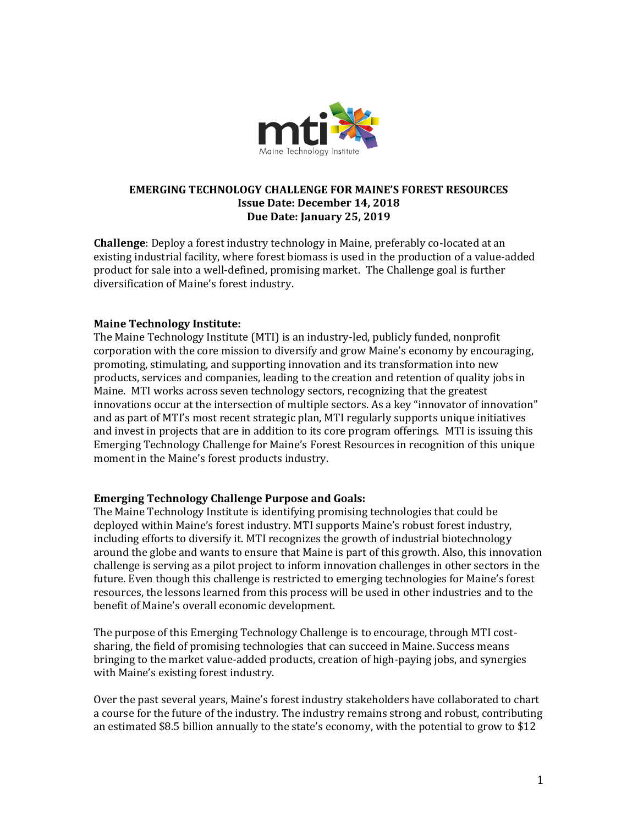

#### **EMERGING TECHNOLOGY CHALLENGE FOR MAINE'S FOREST RESOURCES Issue Date: December 14, 2018 Due Date: January 25, 2019**

**Challenge**: Deploy a forest industry technology in Maine, preferably co-located at an existing industrial facility, where forest biomass is used in the production of a value-added product for sale into a well-defined, promising market. The Challenge goal is further diversification of Maine's forest industry.

#### **Maine Technology Institute:**

The Maine Technology Institute (MTI) is an industry-led, publicly funded, nonprofit corporation with the core mission to diversify and grow Maine's economy by encouraging, promoting, stimulating, and supporting innovation and its transformation into new products, services and companies, leading to the creation and retention of quality jobs in Maine. MTI works across seven technology sectors, recognizing that the greatest innovations occur at the intersection of multiple sectors. As a key "innovator of innovation" and as part of MTI's most recent strategic plan, MTI regularly supports unique initiatives and invest in projects that are in addition to its core program offerings. MTI is issuing this Emerging Technology Challenge for Maine's Forest Resources in recognition of this unique moment in the Maine's forest products industry.

#### **Emerging Technology Challenge Purpose and Goals:**

The Maine Technology Institute is identifying promising technologies that could be deployed within Maine's forest industry. MTI supports Maine's robust forest industry, including efforts to diversify it. MTI recognizes the growth of industrial biotechnology around the globe and wants to ensure that Maine is part of this growth. Also, this innovation challenge is serving as a pilot project to inform innovation challenges in other sectors in the future. Even though this challenge is restricted to emerging technologies for Maine's forest resources, the lessons learned from this process will be used in other industries and to the benefit of Maine's overall economic development.

The purpose of this Emerging Technology Challenge is to encourage, through MTI costsharing, the field of promising technologies that can succeed in Maine. Success means bringing to the market value-added products, creation of high-paying jobs, and synergies with Maine's existing forest industry.

Over the past several years, Maine's forest industry stakeholders have collaborated to chart a course for the future of the industry. The industry remains strong and robust, contributing an estimated \$8.5 billion annually to the state's economy, with the potential to grow to \$12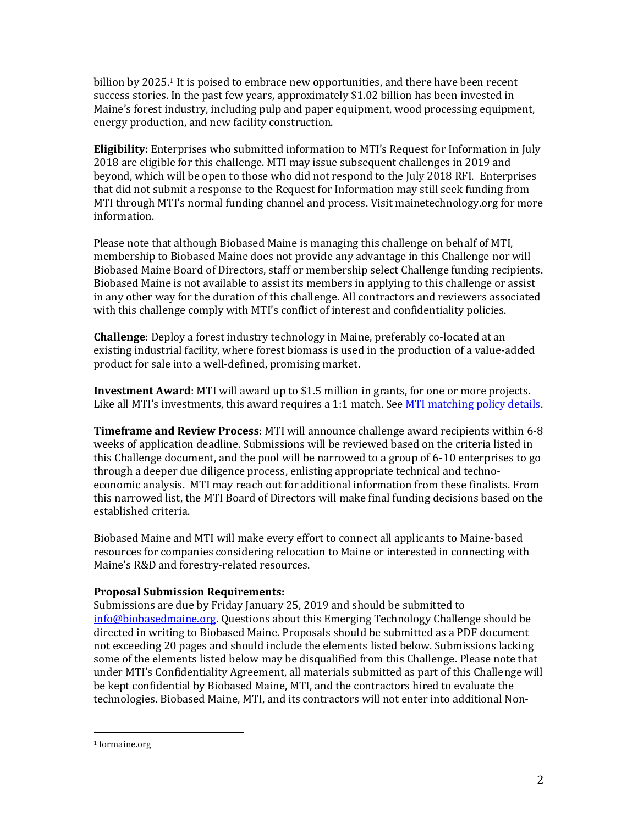billion by 2025. <sup>1</sup> It is poised to embrace new opportunities, and there have been recent success stories. In the past few years, approximately \$1.02 billion has been invested in Maine's forest industry, including pulp and paper equipment, wood processing equipment, energy production, and new facility construction.

**Eligibility:** Enterprises who submitted information to MTI's Request for Information in July 2018 are eligible for this challenge. MTI may issue subsequent challenges in 2019 and beyond, which will be open to those who did not respond to the July 2018 RFI. Enterprises that did not submit a response to the Request for Information may still seek funding from MTI through MTI's normal funding channel and process. Visit mainetechnology.org for more information.

Please note that although Biobased Maine is managing this challenge on behalf of MTI, membership to Biobased Maine does not provide any advantage in this Challenge nor will Biobased Maine Board of Directors, staff or membership select Challenge funding recipients. Biobased Maine is not available to assist its members in applying to this challenge or assist in any other way for the duration of this challenge. All contractors and reviewers associated with this challenge comply with MTI's conflict of interest and confidentiality policies.

**Challenge**: Deploy a forest industry technology in Maine, preferably co-located at an existing industrial facility, where forest biomass is used in the production of a value-added product for sale into a well-defined, promising market.

**Investment Award**: MTI will award up to \$1.5 million in grants, for one or more projects. Like all MTI's investments, this award requires a 1:1 match. See [MTI matching policy details.](https://www.mainetechnology.org/wp-content/uploads/2015/05/12312013-Allowable-Rates-and-Matching-Fund-Requirements.pdf)

**Timeframe and Review Process**: MTI will announce challenge award recipients within 6-8 weeks of application deadline. Submissions will be reviewed based on the criteria listed in this Challenge document, and the pool will be narrowed to a group of 6-10 enterprises to go through a deeper due diligence process, enlisting appropriate technical and technoeconomic analysis. MTI may reach out for additional information from these finalists. From this narrowed list, the MTI Board of Directors will make final funding decisions based on the established criteria.

Biobased Maine and MTI will make every effort to connect all applicants to Maine-based resources for companies considering relocation to Maine or interested in connecting with Maine's R&D and forestry-related resources.

#### **Proposal Submission Requirements:**

Submissions are due by Friday January 25, 2019 and should be submitted to [info@biobasedmaine.org.](mailto:info@biobasedmaine.org) Questions about this Emerging Technology Challenge should be directed in writing to Biobased Maine. Proposals should be submitted as a PDF document not exceeding 20 pages and should include the elements listed below. Submissions lacking some of the elements listed below may be disqualified from this Challenge. Please note that under MTI's Confidentiality Agreement, all materials submitted as part of this Challenge will be kept confidential by Biobased Maine, MTI, and the contractors hired to evaluate the technologies. Biobased Maine, MTI, and its contractors will not enter into additional Non-

 $\overline{\phantom{a}}$ 

<sup>1</sup> formaine.org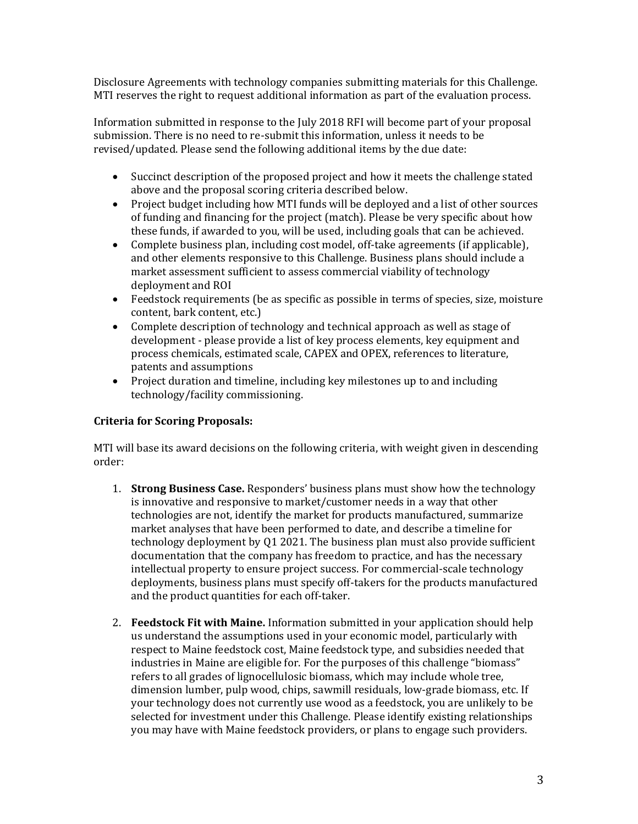Disclosure Agreements with technology companies submitting materials for this Challenge. MTI reserves the right to request additional information as part of the evaluation process.

Information submitted in response to the July 2018 RFI will become part of your proposal submission. There is no need to re-submit this information, unless it needs to be revised/updated. Please send the following additional items by the due date:

- Succinct description of the proposed project and how it meets the challenge stated above and the proposal scoring criteria described below.
- Project budget including how MTI funds will be deployed and a list of other sources of funding and financing for the project (match). Please be very specific about how these funds, if awarded to you, will be used, including goals that can be achieved.
- Complete business plan, including cost model, off-take agreements (if applicable), and other elements responsive to this Challenge. Business plans should include a market assessment sufficient to assess commercial viability of technology deployment and ROI
- Feedstock requirements (be as specific as possible in terms of species, size, moisture content, bark content, etc.)
- Complete description of technology and technical approach as well as stage of development - please provide a list of key process elements, key equipment and process chemicals, estimated scale, CAPEX and OPEX, references to literature, patents and assumptions
- Project duration and timeline, including key milestones up to and including technology/facility commissioning.

### **Criteria for Scoring Proposals:**

MTI will base its award decisions on the following criteria, with weight given in descending order:

- 1. **Strong Business Case.** Responders' business plans must show how the technology is innovative and responsive to market/customer needs in a way that other technologies are not, identify the market for products manufactured, summarize market analyses that have been performed to date, and describe a timeline for technology deployment by Q1 2021. The business plan must also provide sufficient documentation that the company has freedom to practice, and has the necessary intellectual property to ensure project success. For commercial-scale technology deployments, business plans must specify off-takers for the products manufactured and the product quantities for each off-taker.
- 2. **Feedstock Fit with Maine.** Information submitted in your application should help us understand the assumptions used in your economic model, particularly with respect to Maine feedstock cost, Maine feedstock type, and subsidies needed that industries in Maine are eligible for. For the purposes of this challenge "biomass" refers to all grades of lignocellulosic biomass, which may include whole tree, dimension lumber, pulp wood, chips, sawmill residuals, low-grade biomass, etc. If your technology does not currently use wood as a feedstock, you are unlikely to be selected for investment under this Challenge. Please identify existing relationships you may have with Maine feedstock providers, or plans to engage such providers.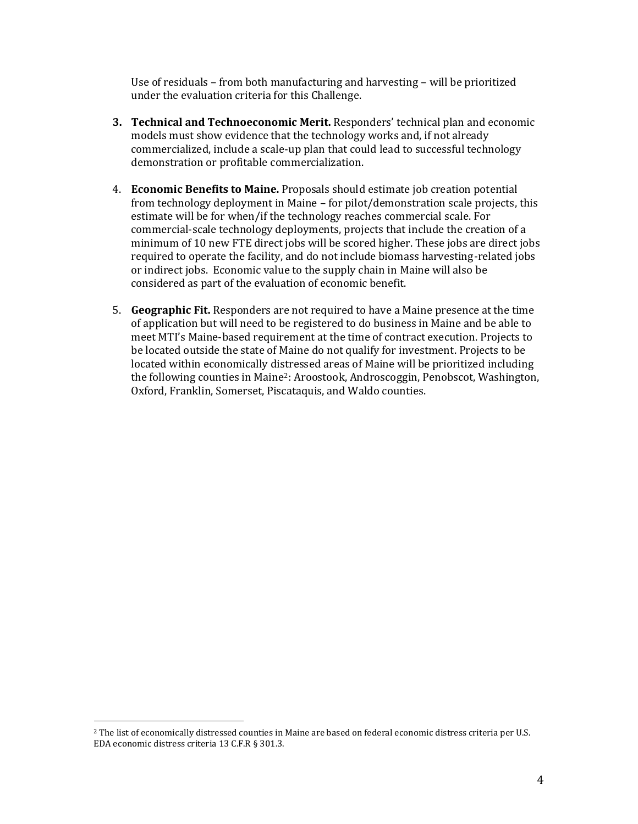Use of residuals – from both manufacturing and harvesting – will be prioritized under the evaluation criteria for this Challenge.

- **3. Technical and Technoeconomic Merit.** Responders' technical plan and economic models must show evidence that the technology works and, if not already commercialized, include a scale-up plan that could lead to successful technology demonstration or profitable commercialization.
- 4. **Economic Benefits to Maine.** Proposals should estimate job creation potential from technology deployment in Maine – for pilot/demonstration scale projects, this estimate will be for when/if the technology reaches commercial scale. For commercial-scale technology deployments, projects that include the creation of a minimum of 10 new FTE direct jobs will be scored higher. These jobs are direct jobs required to operate the facility, and do not include biomass harvesting-related jobs or indirect jobs. Economic value to the supply chain in Maine will also be considered as part of the evaluation of economic benefit.
- 5. **Geographic Fit.** Responders are not required to have a Maine presence at the time of application but will need to be registered to do business in Maine and be able to meet MTI's Maine-based requirement at the time of contract execution. Projects to be located outside the state of Maine do not qualify for investment. Projects to be located within economically distressed areas of Maine will be prioritized including the following counties in Maine2: Aroostook, Androscoggin, Penobscot, Washington, Oxford, Franklin, Somerset, Piscataquis, and Waldo counties.

l

<sup>2</sup> The list of economically distressed counties in Maine are based on federal economic distress criteria per U.S. EDA economic distress criteria 13 C.F.R § 301.3.